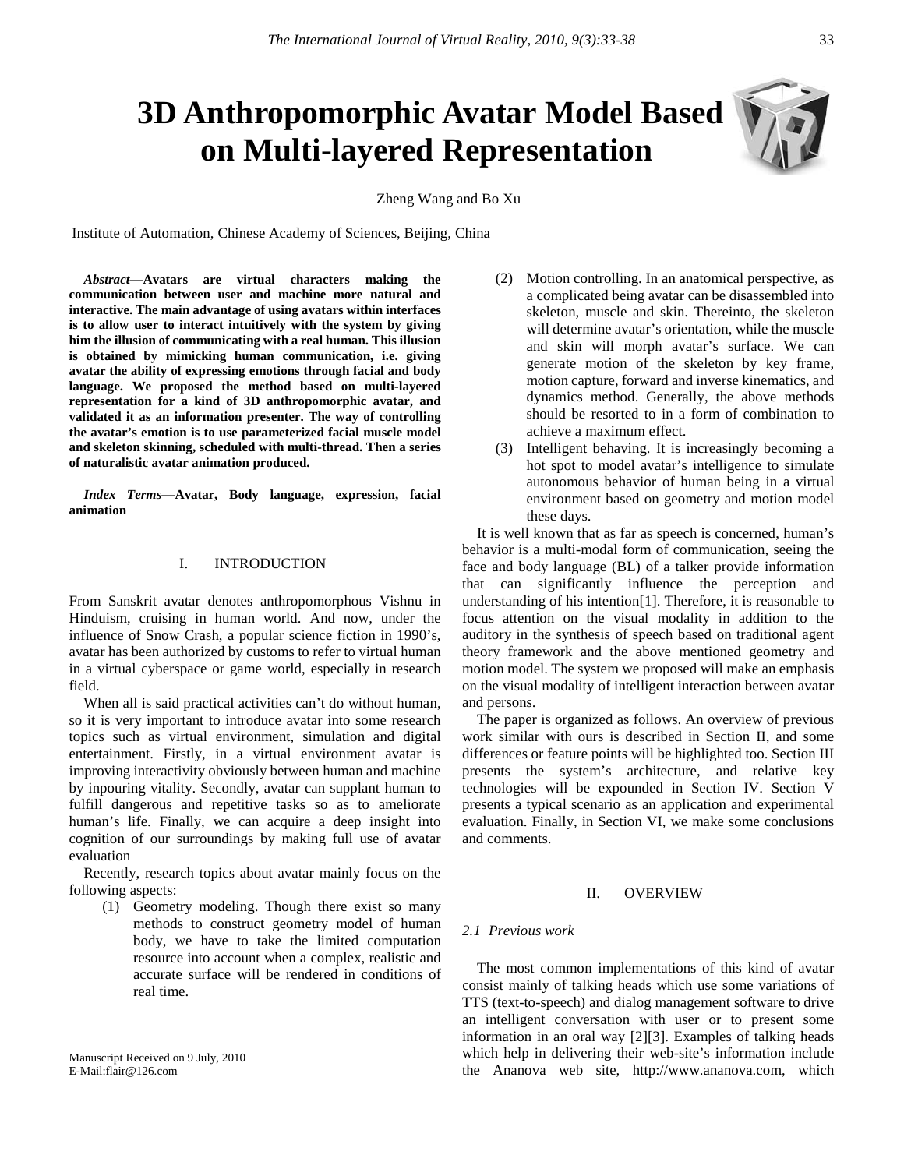# **3D Anthropomorphic Avatar Model Based on Multi-layered Representation**

Zheng Wang and Bo Xu

Institute of Automation, Chinese Academy of Sciences, Beijing, China

*Abstract***—Avatars are virtual characters making the communication between user and machine more natural and interactive. The main advantage of using avatars within interfaces is to allow user to interact intuitively with the system by giving him the illusion of communicating with a real human. This illusion is obtained by mimicking human communication, i.e. giving avatar the ability of expressing emotions through facial and body language. We proposed the method based on multi-layered representation for a kind of 3D anthropomorphic avatar, and validated it as an information presenter. The way of controlling the avatar's emotion is to use parameterized facial muscle model and skeleton skinning, scheduled with multi-thread. Then a series of naturalistic avatar animation produced.**

*Index Terms***—Avatar, Body language, expression, facial animation**

# I. INTRODUCTION

From Sanskrit avatar denotes anthropomorphous Vishnu in Hinduism, cruising in human world. And now, under the influence of Snow Crash, a popular science fiction in 1990's, avatar has been authorized by customs to refer to virtual human in a virtual cyberspace or game world, especially in research field.

When all is said practical activities can't do without human, so it is very important to introduce avatar into some research topics such as virtual environment, simulation and digital entertainment. Firstly, in a virtual environment avatar is improving interactivity obviously between human and machine by inpouring vitality. Secondly, avatar can supplant human to fulfill dangerous and repetitive tasks so as to ameliorate human's life. Finally, we can acquire a deep insight into cognition of our surroundings by making full use of avatar evaluation

Recently, research topics about avatar mainly focus on the following aspects:

(1) Geometry modeling. Though there exist so many methods to construct geometry model of human body, we have to take the limited computation resource into account when a complex, realistic and accurate surface will be rendered in conditions of real time.

- (2) Motion controlling. In an anatomical perspective, as a complicated being avatar can be disassembled into skeleton, muscle and skin. Thereinto, the skeleton will determine avatar's orientation, while the muscle and skin will morph avatar's surface. We can generate motion of the skeleton by key frame, motion capture, forward and inverse kinematics, and dynamics method. Generally, the above methods should be resorted to in a form of combination to achieve a maximum effect.
- (3) Intelligent behaving. It is increasingly becoming a hot spot to model avatar's intelligence to simulate autonomous behavior of human being in a virtual environment based on geometry and motion model these days.

It is well known that as far as speech is concerned, human's behavior is a multi-modal form of communication, seeing the face and body language (BL) of a talker provide information that can significantly influence the perception and understanding of his intention[1]. Therefore, it is reasonable to focus attention on the visual modality in addition to the auditory in the synthesis of speech based on traditional agent theory framework and the above mentioned geometry and motion model. The system we proposed will make an emphasis on the visual modality of intelligent interaction between avatar and persons.

The paper is organized as follows. An overview of previous work similar with ours is described in Section II, and some differences or feature points will be highlighted too. Section III presents the system's architecture, and relative key technologies will be expounded in Section IV. Section V presents a typical scenario as an application and experimental evaluation. Finally, in Section VI, we make some conclusions and comments.

# II. OVERVIEW

#### *2.1 Previous work*

The most common implementations of this kind of avatar consist mainly of talking heads which use some variations of TTS (text-to-speech) and dialog management software to drive an intelligent conversation with user or to present some information in an oral way [2][3]. Examples of talking heads which help in delivering their web-site's information include the Ananova web site, [http://www.ananova.com,](http://www.ananova.com/) which

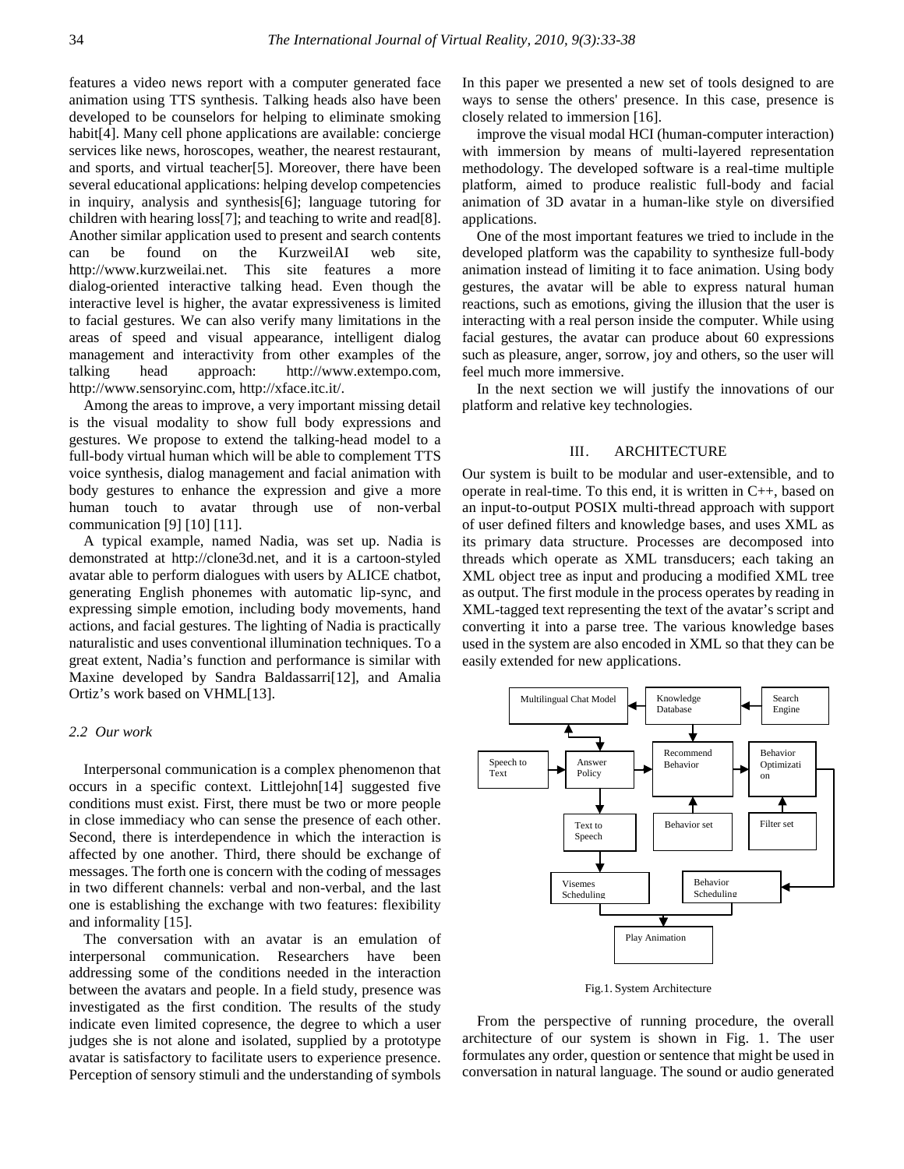features a video news report with a computer generated face animation using TTS synthesis. Talking heads also have been developed to be counselors for helping to eliminate smoking habit[4]. Many cell phone applications are available: concierge services like news, horoscopes, weather, the nearest restaurant, and sports, and virtual teacher[5]. Moreover, there have been several educational applications: helping develop competencies in inquiry, analysis and synthesis[6]; language tutoring for children with hearing loss[7]; and teaching to write and read[8]. Another similar application used to present and search contents can be found on the KurzweilAI web site, [http://www.kurzweilai.net.](http://www.kurzweilai.net/) This site features a more dialog-oriented interactive talking head. Even though the interactive level is higher, the avatar expressiveness is limited to facial gestures. We can also verify many limitations in the areas of speed and visual appearance, intelligent dialog management and interactivity from other examples of the talking head approach: [http://www.extempo.com,](http://www.extempo.com/)  [http://www.sensoryinc.com,](http://www.sensoryinc.com/) [http://xface.itc.it/.](http://xface.itc.it/)

Among the areas to improve, a very important missing detail is the visual modality to show full body expressions and gestures. We propose to extend the talking-head model to a full-body virtual human which will be able to complement TTS voice synthesis, dialog management and facial animation with body gestures to enhance the expression and give a more human touch to avatar through use of non-verbal communication [9] [10] [11].

A typical example, named Nadia, was set up. Nadia is demonstrated at [http://clone3d.net,](http://clone3d.net/) and it is a cartoon-styled avatar able to perform dialogues with users by ALICE chatbot, generating English phonemes with automatic lip-sync, and expressing simple emotion, including body movements, hand actions, and facial gestures. The lighting of Nadia is practically naturalistic and uses conventional illumination techniques. To a great extent, Nadia's function and performance is similar with Maxine developed by Sandra Baldassarri[12], and Amalia Ortiz's work based on VHML[13].

# *2.2 Our work*

Interpersonal communication is a complex phenomenon that occurs in a specific context. Littlejohn[14] suggested five conditions must exist. First, there must be two or more people in close immediacy who can sense the presence of each other. Second, there is interdependence in which the interaction is affected by one another. Third, there should be exchange of messages. The forth one is concern with the coding of messages in two different channels: verbal and non-verbal, and the last one is establishing the exchange with two features: flexibility and informality [15].

The conversation with an avatar is an emulation of interpersonal communication. Researchers have been addressing some of the conditions needed in the interaction between the avatars and people. In a field study, presence was investigated as the first condition. The results of the study indicate even limited copresence, the degree to which a user judges she is not alone and isolated, supplied by a prototype avatar is satisfactory to facilitate users to experience presence. Perception of sensory stimuli and the understanding of symbols In this paper we presented a new set of tools designed to are ways to sense the others' presence. In this case, presence is closely related to immersion [16].

improve the visual modal HCI (human-computer interaction) with immersion by means of multi-layered representation methodology. The developed software is a real-time multiple platform, aimed to produce realistic full-body and facial animation of 3D avatar in a human-like style on diversified applications.

One of the most important features we tried to include in the developed platform was the capability to synthesize full-body animation instead of limiting it to face animation. Using body gestures, the avatar will be able to express natural human reactions, such as emotions, giving the illusion that the user is interacting with a real person inside the computer. While using facial gestures, the avatar can produce about 60 expressions such as pleasure, anger, sorrow, joy and others, so the user will feel much more immersive.

In the next section we will justify the innovations of our platform and relative key technologies.

#### III. ARCHITECTURE

Our system is built to be modular and user-extensible, and to operate in real-time. To this end, it is written in C++, based on an input-to-output POSIX multi-thread approach with support of user defined filters and knowledge bases, and uses XML as its primary data structure. Processes are decomposed into threads which operate as XML transducers; each taking an XML object tree as input and producing a modified XML tree as output. The first module in the process operates by reading in XML-tagged text representing the text of the avatar's script and converting it into a parse tree. The various knowledge bases used in the system are also encoded in XML so that they can be easily extended for new applications.



Fig.1. System Architecture

From the perspective of running procedure, the overall architecture of our system is shown in Fig. 1. The user formulates any order, question or sentence that might be used in conversation in natural language. The sound or audio generated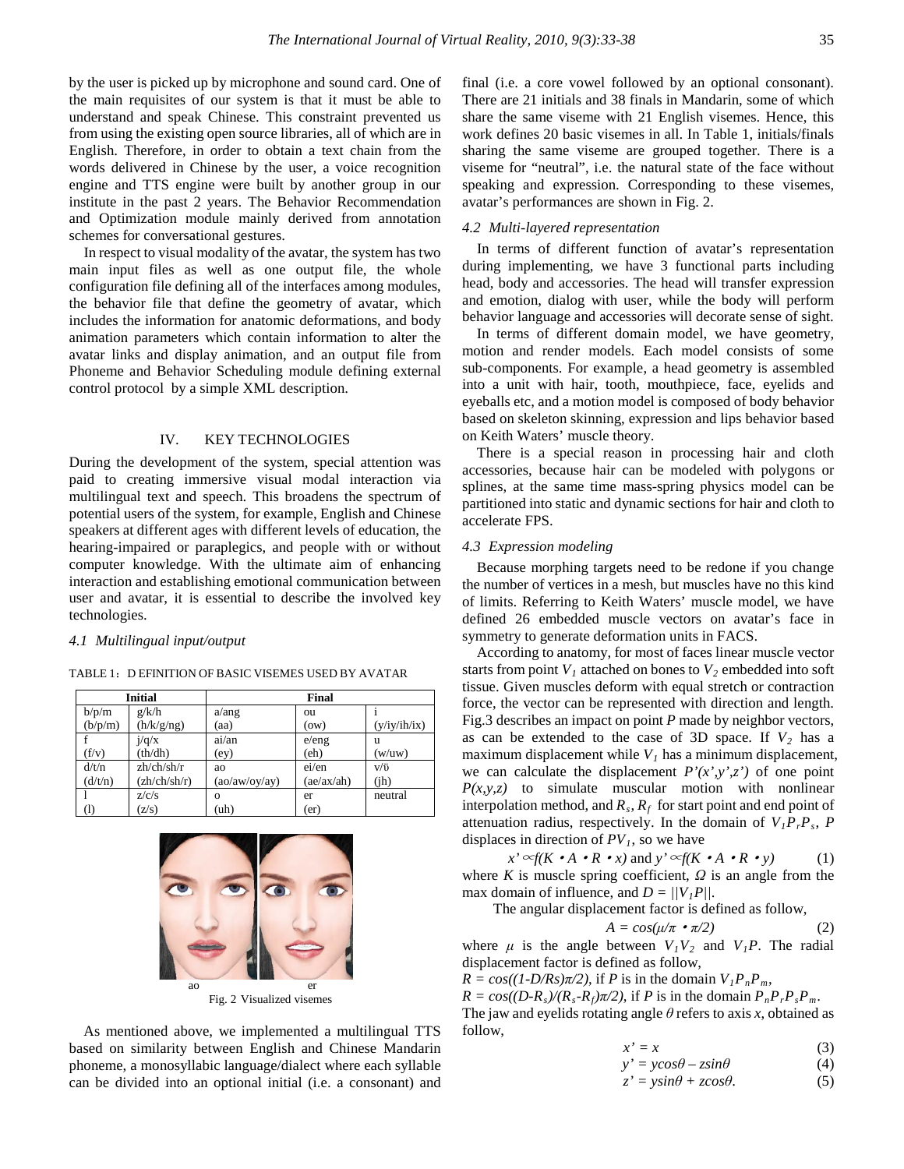by the user is picked up by microphone and sound card. One of the main requisites of our system is that it must be able to understand and speak Chinese. This constraint prevented us from using the existing open source libraries, all of which are in English. Therefore, in order to obtain a text chain from the words delivered in Chinese by the user, a voice recognition engine and TTS engine were built by another group in our institute in the past 2 years. The Behavior Recommendation and Optimization module mainly derived from annotation schemes for conversational gestures.

In respect to visual modality of the avatar, the system has two main input files as well as one output file, the whole configuration file defining all of the interfaces among modules, the behavior file that define the geometry of avatar, which includes the information for anatomic deformations, and body animation parameters which contain information to alter the avatar links and display animation, and an output file from Phoneme and Behavior Scheduling module defining external control protocol by a simple XML description.

## IV. KEY TECHNOLOGIES

During the development of the system, special attention was paid to creating immersive visual modal interaction via multilingual text and speech. This broadens the spectrum of potential users of the system, for example, English and Chinese speakers at different ages with different levels of education, the hearing-impaired or paraplegics, and people with or without computer knowledge. With the ultimate aim of enhancing interaction and establishing emotional communication between user and avatar, it is essential to describe the involved key technologies.

#### *4.1 Multilingual input/output*

#### TABLE 1:D EFINITION OF BASIC VISEMES USED BY AVATAR

| <b>Initial</b> |              | <b>Final</b>  |            |              |
|----------------|--------------|---------------|------------|--------------|
| b/p/m          | g/k/h        | a/ang         | ou         |              |
| (b/p/m)        | (h/k/g/ng)   | (aa)          | (ow)       | (y/iy/ih/ix) |
|                | i/q/x        | ai/an         | e/eng      | u            |
| (f/v)          | (th/dh)      | (ey)          | (eh)       | (w/uw)       |
| d/t/n          | zh/ch/sh/r   | ao            | ei/en      | $V/\ddot{U}$ |
| (d/t/n)        | (zh/ch/sh/r) | (ao/aw/oy/ay) | (ae/ax/ah) | (ih)         |
|                | z/c/s        | $\Omega$      | er         | neutral      |
|                | (z/s)        | (uh)          | (er)       |              |



As mentioned above, we implemented a multilingual TTS based on similarity between English and Chinese Mandarin phoneme, a monosyllabic language/dialect where each syllable can be divided into an optional initial (i.e. a consonant) and final (i.e. a core vowel followed by an optional consonant). There are 21 initials and 38 finals in Mandarin, some of which share the same viseme with 21 English visemes. Hence, this work defines 20 basic visemes in all. In Table 1, initials/finals sharing the same viseme are grouped together. There is a viseme for "neutral", i.e. the natural state of the face without speaking and expression. Corresponding to these visemes, avatar's performances are shown in Fig. 2.

## *4.2 Multi-layered representation*

In terms of different function of avatar's representation during implementing, we have 3 functional parts including head, body and accessories. The head will transfer expression and emotion, dialog with user, while the body will perform behavior language and accessories will decorate sense of sight.

In terms of different domain model, we have geometry, motion and render models. Each model consists of some sub-components. For example, a head geometry is assembled into a unit with hair, tooth, mouthpiece, face, eyelids and eyeballs etc, and a motion model is composed of body behavior based on skeleton skinning, expression and lips behavior based on Keith Waters' muscle theory.

There is a special reason in processing hair and cloth accessories, because hair can be modeled with polygons or splines, at the same time mass-spring physics model can be partitioned into static and dynamic sections for hair and cloth to accelerate FPS.

# *4.3 Expression modeling*

Because morphing targets need to be redone if you change the number of vertices in a mesh, but muscles have no this kind of limits. Referring to Keith Waters' muscle model, we have defined 26 embedded muscle vectors on avatar's face in symmetry to generate deformation units in FACS.

According to anatomy, for most of faces linear muscle vector starts from point  $V_1$  attached on bones to  $V_2$  embedded into soft tissue. Given muscles deform with equal stretch or contraction force, the vector can be represented with direction and length. Fig.3 describes an impact on point *P* made by neighbor vectors, as can be extended to the case of  $3D$  space. If  $V_2$  has a maximum displacement while  $V<sub>1</sub>$  has a minimum displacement, we can calculate the displacement  $P'(x',y',z')$  of one point  $P(x, y, z)$  to simulate muscular motion with nonlinear interpolation method, and  $R_s$ ,  $R_f$  for start point and end point of attenuation radius, respectively. In the domain of  $V_1P_rP_s$ , *P* displaces in direction of  $PV<sub>1</sub>$ , so we have

 $x' \sim f(K \cdot A \cdot R \cdot x)$  and  $y' \sim f(K \cdot A \cdot R \cdot y)$  (1) where *K* is muscle spring coefficient,  $\Omega$  is an angle from the max domain of influence, and  $D = ||V_1P||$ .

The angular displacement factor is defined as follow,

$$
A = \cos(\mu/\pi \cdot \pi/2) \tag{2}
$$

where  $\mu$  is the angle between  $V_1V_2$  and  $V_1P$ . The radial displacement factor is defined as follow,

 $R = cos((1-D/Rs)\pi/2)$ , if *P* is in the domain  $V_1P_nP_m$ ,

 $R = cos((D-R<sub>s</sub>)/(R<sub>s</sub>-R<sub>f</sub>)\pi/2)$ , if *P* is in the domain  $P<sub>n</sub>P<sub>r</sub>P<sub>s</sub>P<sub>m</sub>$ .

The jaw and eyelids rotating angle *θ* refers to axis *x*, obtained as follow,

$$
x' = x \tag{3}
$$

$$
y' = y\cos\theta - z\sin\theta\tag{4}
$$

$$
z' = y\sin\theta + z\cos\theta. \tag{5}
$$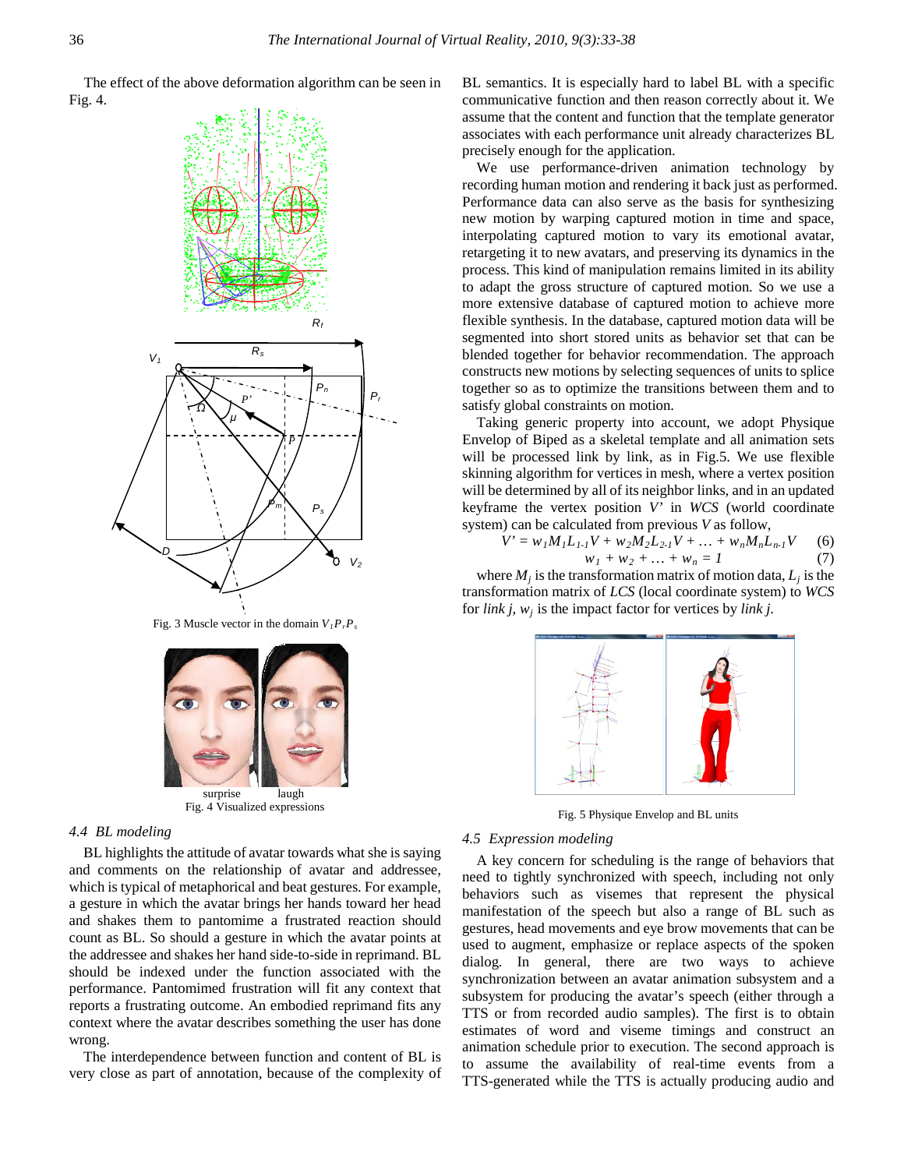The effect of the above deformation algorithm can be seen in Fig. 4.



Fig. 3 Muscle vector in the domain  $V_I P_r P_s$ 



#### *4.4 BL modeling*

BL highlights the attitude of avatar towards what she is saying and comments on the relationship of avatar and addressee, which is typical of metaphorical and beat gestures. For example, a gesture in which the avatar brings her hands toward her head and shakes them to pantomime a frustrated reaction should count as BL. So should a gesture in which the avatar points at the addressee and shakes her hand side-to-side in reprimand. BL should be indexed under the function associated with the performance. Pantomimed frustration will fit any context that reports a frustrating outcome. An embodied reprimand fits any context where the avatar describes something the user has done wrong.

The interdependence between function and content of BL is very close as part of annotation, because of the complexity of BL semantics. It is especially hard to label BL with a specific communicative function and then reason correctly about it. We assume that the content and function that the template generator associates with each performance unit already characterizes BL precisely enough for the application.

We use performance-driven animation technology by recording human motion and rendering it back just as performed. Performance data can also serve as the basis for synthesizing new motion by warping captured motion in time and space, interpolating captured motion to vary its emotional avatar, retargeting it to new avatars, and preserving its dynamics in the process. This kind of manipulation remains limited in its ability to adapt the gross structure of captured motion. So we use a more extensive database of captured motion to achieve more flexible synthesis. In the database, captured motion data will be segmented into short stored units as behavior set that can be blended together for behavior recommendation. The approach constructs new motions by selecting sequences of units to splice together so as to optimize the transitions between them and to satisfy global constraints on motion.

Taking generic property into account, we adopt Physique Envelop of Biped as a skeletal template and all animation sets will be processed link by link, as in Fig.5. We use flexible skinning algorithm for vertices in mesh, where a vertex position will be determined by all of its neighbor links, and in an updated keyframe the vertex position *V'* in *WCS* (world coordinate system) can be calculated from previous *V* as follow,

$$
V' = w_1 M_1 L_{1-1} V + w_2 M_2 L_{2-1} V + \dots + w_n M_n L_{n-1} V
$$
 (6)  

$$
w_1 + w_2 + \dots + w_n = 1
$$
 (7)

where  $M_i$  is the transformation matrix of motion data,  $L_i$  is the transformation matrix of *LCS* (local coordinate system) to *WCS* for *link j*, *wj* is the impact factor for vertices by *link j*.



Fig. 5 Physique Envelop and BL units

# *4.5 Expression modeling*

A key concern for scheduling is the range of behaviors that need to tightly synchronized with speech, including not only behaviors such as visemes that represent the physical manifestation of the speech but also a range of BL such as gestures, head movements and eye brow movements that can be used to augment, emphasize or replace aspects of the spoken dialog. In general, there are two ways to achieve synchronization between an avatar animation subsystem and a subsystem for producing the avatar's speech (either through a TTS or from recorded audio samples). The first is to obtain estimates of word and viseme timings and construct an animation schedule prior to execution. The second approach is to assume the availability of real-time events from a TTS-generated while the TTS is actually producing audio and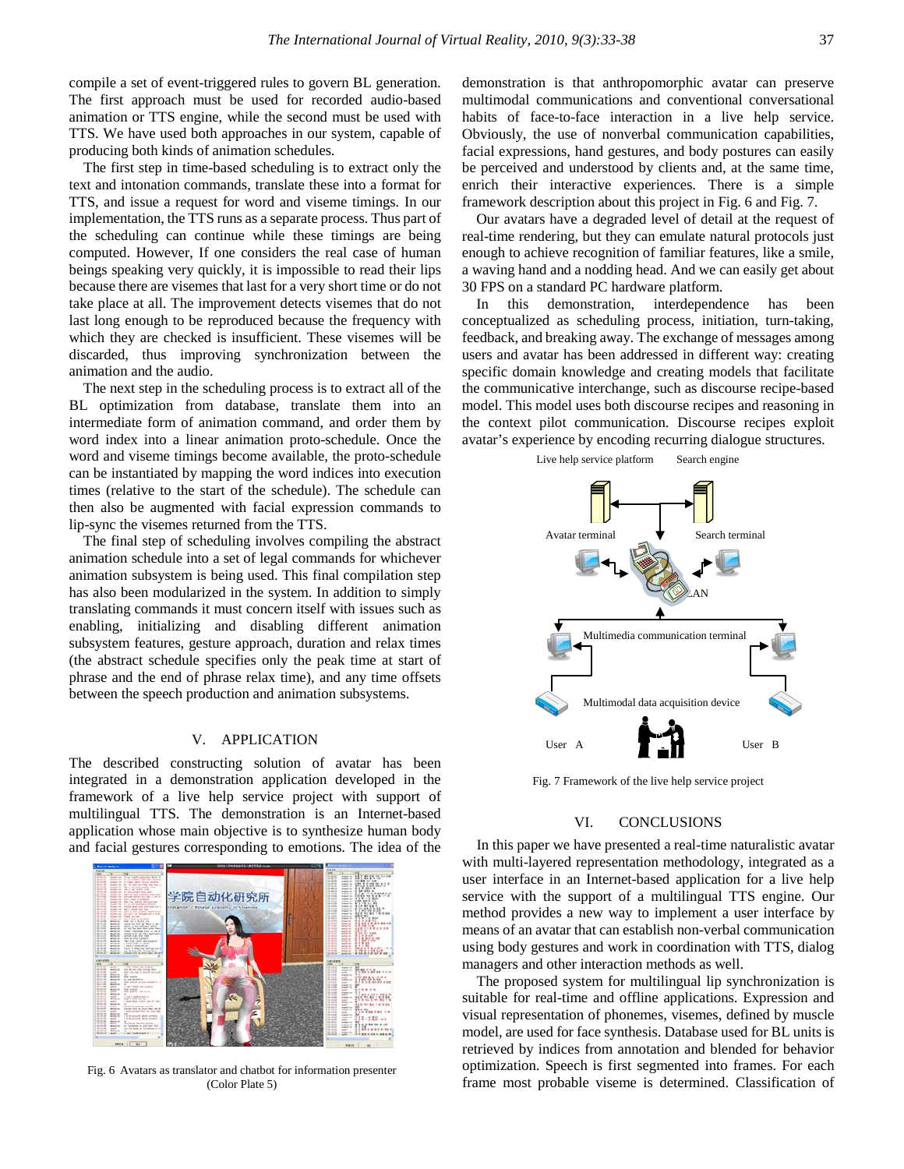compile a set of event-triggered rules to govern BL generation. The first approach must be used for recorded audio-based animation or TTS engine, while the second must be used with TTS. We have used both approaches in our system, capable of producing both kinds of animation schedules.

The first step in time-based scheduling is to extract only the text and intonation commands, translate these into a format for TTS, and issue a request for word and viseme timings. In our implementation, the TTS runs as a separate process. Thus part of the scheduling can continue while these timings are being computed. However, If one considers the real case of human beings speaking very quickly, it is impossible to read their lips because there are visemes that last for a very short time or do not take place at all. The improvement detects visemes that do not last long enough to be reproduced because the frequency with which they are checked is insufficient. These visemes will be discarded, thus improving synchronization between the animation and the audio.

The next step in the scheduling process is to extract all of the BL optimization from database, translate them into an intermediate form of animation command, and order them by word index into a linear animation proto-schedule. Once the word and viseme timings become available, the proto-schedule can be instantiated by mapping the word indices into execution times (relative to the start of the schedule). The schedule can then also be augmented with facial expression commands to lip-sync the visemes returned from the TTS.

The final step of scheduling involves compiling the abstract animation schedule into a set of legal commands for whichever animation subsystem is being used. This final compilation step has also been modularized in the system. In addition to simply translating commands it must concern itself with issues such as enabling, initializing and disabling different animation subsystem features, gesture approach, duration and relax times (the abstract schedule specifies only the peak time at start of phrase and the end of phrase relax time), and any time offsets between the speech production and animation subsystems.

## V. APPLICATION

The described constructing solution of avatar has been integrated in a demonstration application developed in the framework of a live help service project with support of multilingual TTS. The demonstration is an Internet-based application whose main objective is to synthesize human body and facial gestures corresponding to emotions. The idea of the



Fig. 6 Avatars as translator and chatbot for information presenter (Color Plate 5)

demonstration is that anthropomorphic avatar can preserve multimodal communications and conventional conversational habits of face-to-face interaction in a live help service. Obviously, the use of nonverbal communication capabilities, facial expressions, hand gestures, and body postures can easily be perceived and understood by clients and, at the same time, enrich their interactive experiences. There is a simple framework description about this project in Fig. 6 and Fig. 7.

Our avatars have a degraded level of detail at the request of real-time rendering, but they can emulate natural protocols just enough to achieve recognition of familiar features, like a smile, a waving hand and a nodding head. And we can easily get about 30 FPS on a standard PC hardware platform.

In this demonstration, interdependence has been conceptualized as scheduling process, initiation, turn-taking, feedback, and breaking away. The exchange of messages among users and avatar has been addressed in different way: creating specific domain knowledge and creating models that facilitate the communicative interchange, such as discourse recipe-based model. This model uses both discourse recipes and reasoning in the context pilot communication. Discourse recipes exploit avatar's experience by encoding recurring dialogue structures.

Live help service platform Search engine



Fig. 7 Framework of the live help service project

#### VI. CONCLUSIONS

In this paper we have presented a real-time naturalistic avatar with multi-layered representation methodology, integrated as a user interface in an Internet-based application for a live help service with the support of a multilingual TTS engine. Our method provides a new way to implement a user interface by means of an avatar that can establish non-verbal communication using body gestures and work in coordination with TTS, dialog managers and other interaction methods as well.

The proposed system for multilingual lip synchronization is suitable for real-time and offline applications. Expression and visual representation of phonemes, visemes, defined by muscle model, are used for face synthesis. Database used for BL units is retrieved by indices from annotation and blended for behavior optimization. Speech is first segmented into frames. For each frame most probable viseme is determined. Classification of